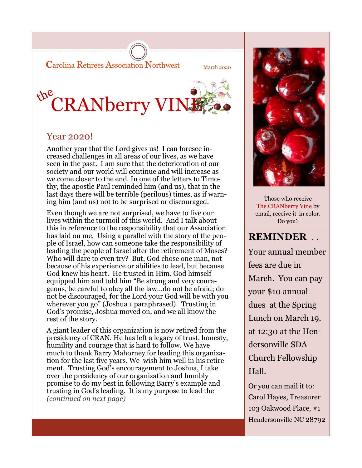**Carolina Retirees Association Northwest** 

March 2020

# the **CRANberry VINE**

### **Year 2020!**

Another year that the Lord gives us! I can foresee increased challenges in all areas of our lives, as we have seen in the past. I am sure that the deterioration of our society and our world will continue and will increase as we come closer to the end. In one of the letters to Timothy, the apostle Paul reminded him (and us), that in the last days there will be terrible (perilous) times, as if warning him (and us) not to be surprised or discouraged.

Even though we are not surprised, we have to live our lives within the turmoil of this world. And I talk about this in reference to the responsibility that our Association has laid on me. Using a parallel with the story of the people of Israel, how can someone take the responsibility of leading the people of Israel after the retirement of Moses? Who will dare to even try? But, God chose one man, not because of his experience or abilities to lead, but because God knew his heart. He trusted in Him. God himself equipped him and told him "Be strong and very courageous, be careful to obey all the law...do not be afraid; do not be discouraged, for the Lord your God will be with you wherever you go" (Joshua 1 paraphrased). Trusting in God's promise, Joshua moved on, and we all know the rest of the story.

A giant leader of this organization is now retired from the presidency of CRAN. He has left a legacy of trust, honesty, humility and courage that is hard to follow. We have much to thank Barry Mahorney for leading this organization for the last five years. We wish him well in his retirement. Trusting God's encouragement to Joshua, I take over the presidency of our organization and humbly promise to do my best in following Barry's example and trusting in God's leading. It is my purpose to lead the *(continued on next page)* 



Those who receive The CRANberry Vine by email, receive it in color. Do you?

#### **REMINDER...**

Your annual member fees are due in March. You can pay your \$10 annual dues at the Spring Lunch on March 19, at 12:30 at the Hendersonville SDA **Church Fellowship** Hall.

Or you can mail it to: Carol Hayes, Treasurer 103 Oakwood Place, #1 Hendersonville NC 28792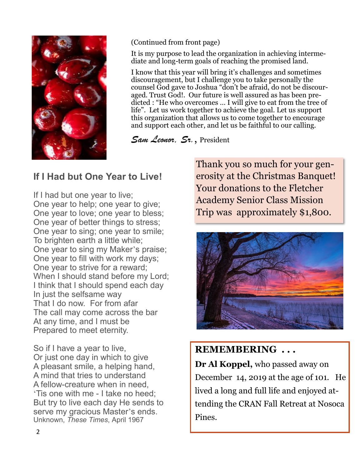

(Continued from front page)

It is my purpose to lead the organization in achieving intermediate and long-term goals of reaching the promised land.

I know that this year will bring it's challenges and sometimes discouragement, but I challenge you to take personally the counsel God gave to Joshua "don't be afraid, do not be discouraged. Trust God!. Our future is well assured as has been predicted : "He who overcomes … I will give to eat from the tree of life". Let us work together to achieve the goal. Let us support this organization that allows us to come together to encourage and support each other, and let us be faithful to our calling.

*Sam Leonor, Sr.*, President

## **If I Had but One Year to Live!**

If I had but one year to live; One year to help; one year to give; One year to love; one year to bless; One year of better things to stress; One year to sing; one year to smile; To brighten earth a little while; One year to sing my Maker's praise; One year to fill with work my days; One year to strive for a reward; When I should stand before my Lord: I think that I should spend each day In just the selfsame way That I do now. For from afar The call may come across the bar At any time, and I must be Prepared to meet eternity.

So if I have a year to live, Or just one day in which to give A pleasant smile, a helping hand, A mind that tries to understand A fellow-creature when in need, 'Tis one with me - I take no heed; But try to live each day He sends to serve my gracious Master's ends. Unknown, *These Times*, April 1967

Thank you so much for your generosity at the Christmas Banquet! Your donations to the Fletcher Academy Senior Class Mission Trip was approximately \$1,800.



**REMEMBERING . . . Dr Al Koppel,** who passed away on December 14, 2019 at the age of 101. He lived a long and full life and enjoyed attending the CRAN Fall Retreat at Nosoca Pines.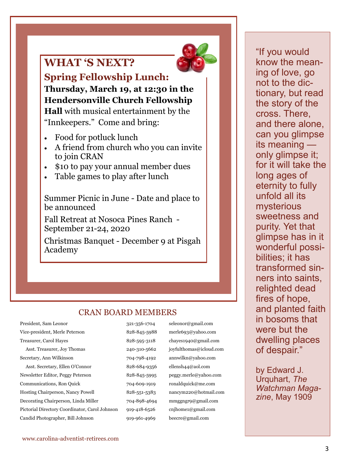## **WHAT 'S NEXT?**



**Spring Fellowship Lunch:** 

**Thursday, March 19, at 12:30 in the Hendersonville Church Fellowship Hall** with musical entertainment by the "Innkeepers." Come and bring:

- Food for potluck lunch
- A friend from church who you can invite to join CRAN
- \$10 to pay your annual member dues
- Table games to play after lunch

Summer Picnic in June - Date and place to be announced

Fall Retreat at Nosoca Pines Ranch - September 21-24, 2020

Christmas Banquet - December 9 at Pisgah Academy

#### CRAN BOARD MEMBERS

Vice-president, Merle Peterson 828-845-5988 merle693@yahoo.com Treasurer, Carol Hayes 828-595-3118 chayes1940@gmail.com Asst. Treasurer, Joy Thomas 240-310-5662 joyfulthomas@icloud.com Secretary, Ann Wilkinson 704-798-4192 annwilkn@yahoo.com Asst. Secretary, Ellen O'Connor 828-684-9356 ellensh44@aol.com Newsletter Editor, Peggy Peterson 828-845-5995 peggy.merle@yahoo.com Communications, Ron Quick 704-609-1919 ronaldquick@me.com Hosting Chairperson, Nancy Powell 828-551-5383 nancym220@hotmail.com Decorating Chairperson, Linda Miller 704-898-4694 mmggngr9@gmail.com Pictorial Directory Coordinator, Carol Johnson 919-418-6526 cnjhome1@gmail.com Candid Photographer, Bill Johnson 919-961-4969 beecre@gmail.com

President, Sam Leonor 321-356-1704 seleonor@gmail.com

"If you would know the meaning of love, go not to the dictionary, but read the story of the cross. There, and there alone, can you glimpse its meaning only glimpse it; for it will take the long ages of eternity to fully unfold all its mysterious sweetness and purity. Yet that glimpse has in it wonderful possibilities; it has transformed sinners into saints, relighted dead fires of hope, and planted faith in bosoms that were but the dwelling places of despair."

by Edward J. Urquhart, *The Watchman Magazine*, May 1909